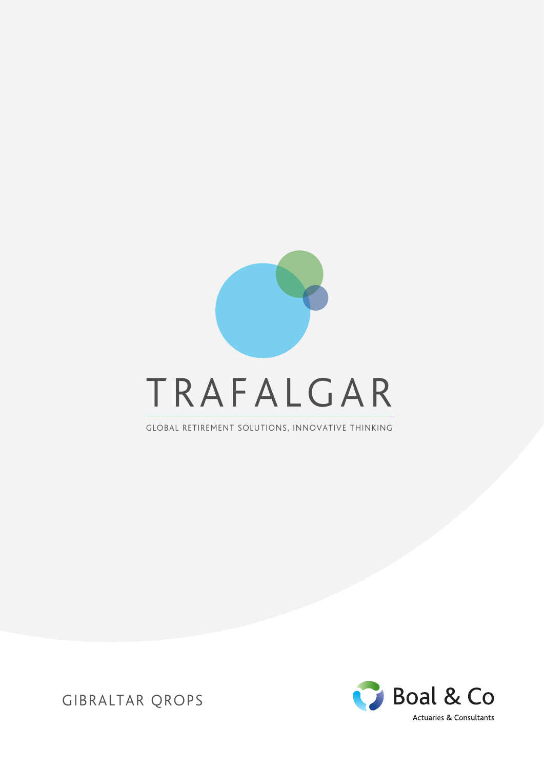

GLOBAL RETIREMENT SOLUTIONS, INNOVATIVE THINKING



GIBRALTAR QROPS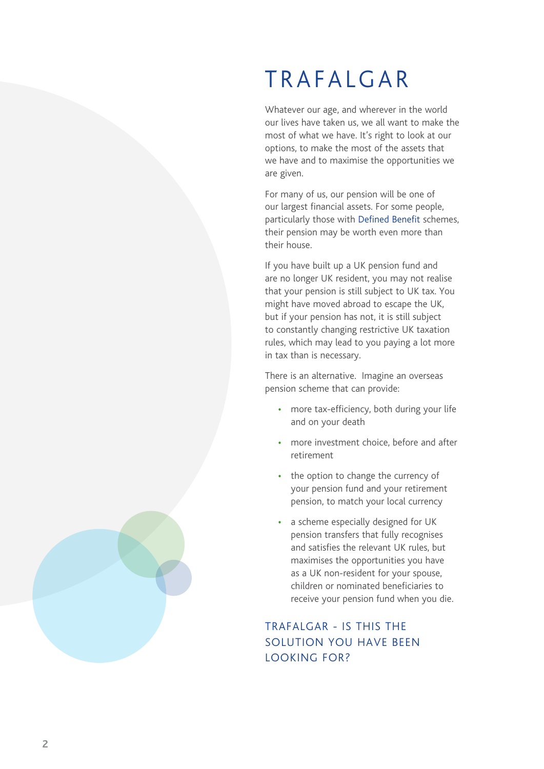# TRAFALGAR

Whatever our age, and wherever in the world our lives have taken us, we all want to make the most of what we have. It's right to look at our options, to make the most of the assets that we have and to maximise the opportunities we are given.

For many of us, our pension will be one of our largest financial assets. For some people, particularly those with Defined Benefit schemes, their pension may be worth even more than their house.

If you have built up a UK pension fund and are no longer UK resident, you may not realise that your pension is still subject to UK tax. You might have moved abroad to escape the UK, but if your pension has not, it is still subject to constantly changing restrictive UK taxation rules, which may lead to you paying a lot more in tax than is necessary.

There is an alternative. Imagine an overseas pension scheme that can provide:

- more tax-efficiency, both during your life and on your death
- more investment choice, before and after retirement
- the option to change the currency of your pension fund and your retirement pension, to match your local currency
- a scheme especially designed for UK pension transfers that fully recognises and satisfies the relevant UK rules, but maximises the opportunities you have as a UK non-resident for your spouse, children or nominated beneficiaries to receive your pension fund when you die.

#### TRAFALGAR - IS THIS THE SOLUTION YOU HAVE BEEN LOOKING FOR?

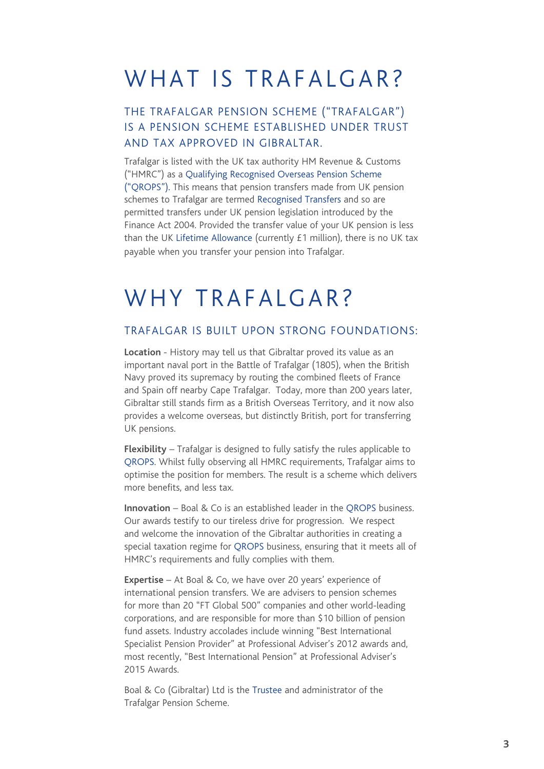#### WHAT IS TRAFALGAR?

#### THE TRAFALGAR PENSION SCHEME ("TRAFALGAR") IS A PENSION SCHEME ESTABLISHED UNDER TRUST AND TAX APPROVED IN GIBRALTAR.

Trafalgar is listed with the UK tax authority HM Revenue & Customs ("HMRC") as a Qualifying Recognised Overseas Pension Scheme ("QROPS"). This means that pension transfers made from UK pension schemes to Trafalgar are termed Recognised Transfers and so are permitted transfers under UK pension legislation introduced by the Finance Act 2004. Provided the transfer value of your UK pension is less than the UK Lifetime Allowance (currently £1 million), there is no UK tax payable when you transfer your pension into Trafalgar.

#### WHY TRAFALGAR?

#### TRAFALGAR IS BUILT UPON STRONG FOUNDATIONS:

**Location** - History may tell us that Gibraltar proved its value as an important naval port in the Battle of Trafalgar (1805), when the British Navy proved its supremacy by routing the combined fleets of France and Spain off nearby Cape Trafalgar. Today, more than 200 years later, Gibraltar still stands firm as a British Overseas Territory, and it now also provides a welcome overseas, but distinctly British, port for transferring UK pensions.

**Flexibility** – Trafalgar is designed to fully satisfy the rules applicable to QROPS. Whilst fully observing all HMRC requirements, Trafalgar aims to optimise the position for members. The result is a scheme which delivers more benefits, and less tax.

**Innovation** – Boal & Co is an established leader in the QROPS business. Our awards testify to our tireless drive for progression. We respect and welcome the innovation of the Gibraltar authorities in creating a special taxation regime for QROPS business, ensuring that it meets all of HMRC's requirements and fully complies with them.

**Expertise** – At Boal & Co, we have over 20 years' experience of international pension transfers. We are advisers to pension schemes for more than 20 "FT Global 500" companies and other world-leading corporations, and are responsible for more than \$10 billion of pension fund assets. Industry accolades include winning "Best International Specialist Pension Provider" at Professional Adviser's 2012 awards and, most recently, "Best International Pension" at Professional Adviser's 2015 Awards.

Boal & Co (Gibraltar) Ltd is the Trustee and administrator of the Trafalgar Pension Scheme.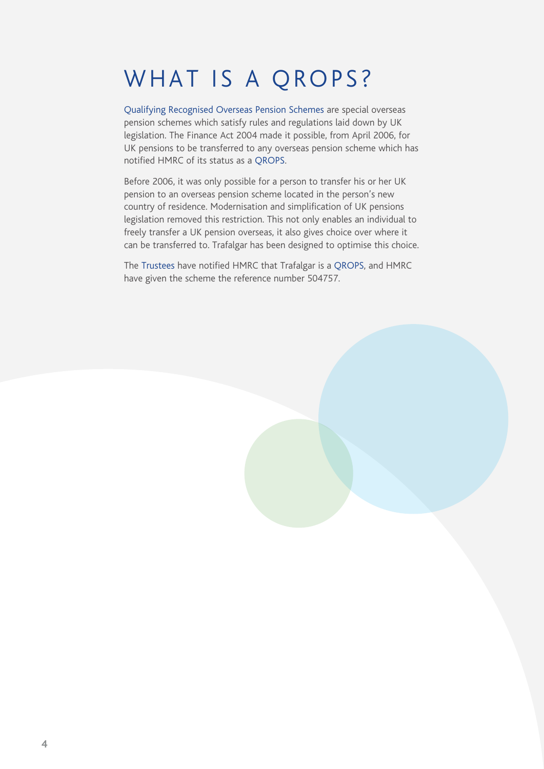### WHAT IS A QROPS?

Qualifying Recognised Overseas Pension Schemes are special overseas pension schemes which satisfy rules and regulations laid down by UK legislation. The Finance Act 2004 made it possible, from April 2006, for UK pensions to be transferred to any overseas pension scheme which has notified HMRC of its status as a QROPS.

Before 2006, it was only possible for a person to transfer his or her UK pension to an overseas pension scheme located in the person's new country of residence. Modernisation and simplification of UK pensions legislation removed this restriction. This not only enables an individual to freely transfer a UK pension overseas, it also gives choice over where it can be transferred to. Trafalgar has been designed to optimise this choice.

The Trustees have notified HMRC that Trafalgar is a QROPS, and HMRC have given the scheme the reference number 504757.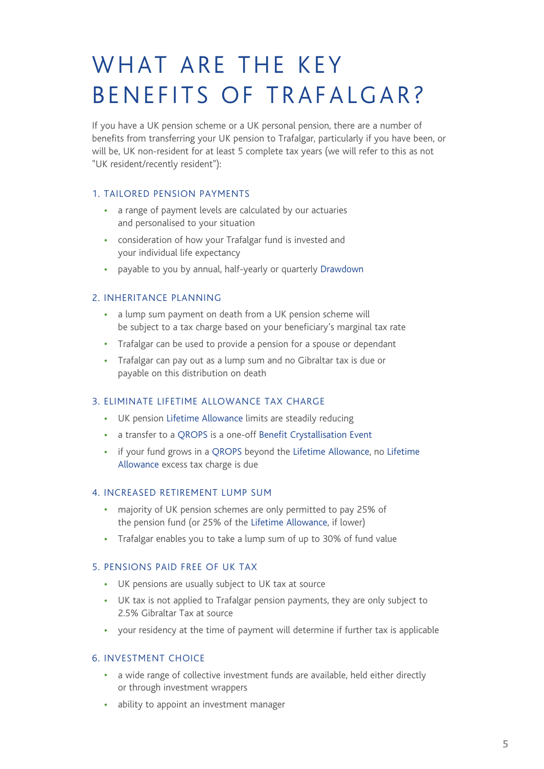# WHAT ARE THE KEY BENEFITS OF TRAFALGAR?

If you have a UK pension scheme or a UK personal pension, there are a number of benefits from transferring your UK pension to Trafalgar, particularly if you have been, or will be, UK non-resident for at least 5 complete tax years (we will refer to this as not "UK resident/recently resident"):

#### 1. TAILORED PENSION PAYMENTS

- a range of payment levels are calculated by our actuaries and personalised to your situation
- consideration of how your Trafalgar fund is invested and your individual life expectancy
- payable to you by annual, half-yearly or quarterly Drawdown

#### 2. INHERITANCE PLANNING

- a lump sum payment on death from a UK pension scheme will be subject to a tax charge based on your beneficiary's marginal tax rate
- Trafalgar can be used to provide a pension for a spouse or dependant
- Trafalgar can pay out as a lump sum and no Gibraltar tax is due or payable on this distribution on death

#### 3. ELIMINATE LIFETIME ALLOWANCE TAX CHARGE

- UK pension Lifetime Allowance limits are steadily reducing
- a transfer to a QROPS is a one-off Benefit Crystallisation Event
- if your fund grows in a QROPS beyond the Lifetime Allowance, no Lifetime Allowance excess tax charge is due

#### 4. INCREASED RETIREMENT LUMP SUM

- majority of UK pension schemes are only permitted to pay 25% of the pension fund (or 25% of the Lifetime Allowance, if lower)
- Trafalgar enables you to take a lump sum of up to 30% of fund value

#### 5. PENSIONS PAID FREE OF UK TAX

- UK pensions are usually subject to UK tax at source
- UK tax is not applied to Trafalgar pension payments, they are only subject to 2.5% Gibraltar Tax at source
- your residency at the time of payment will determine if further tax is applicable

#### 6. INVESTMENT CHOICE

- a wide range of collective investment funds are available, held either directly or through investment wrappers
- ability to appoint an investment manager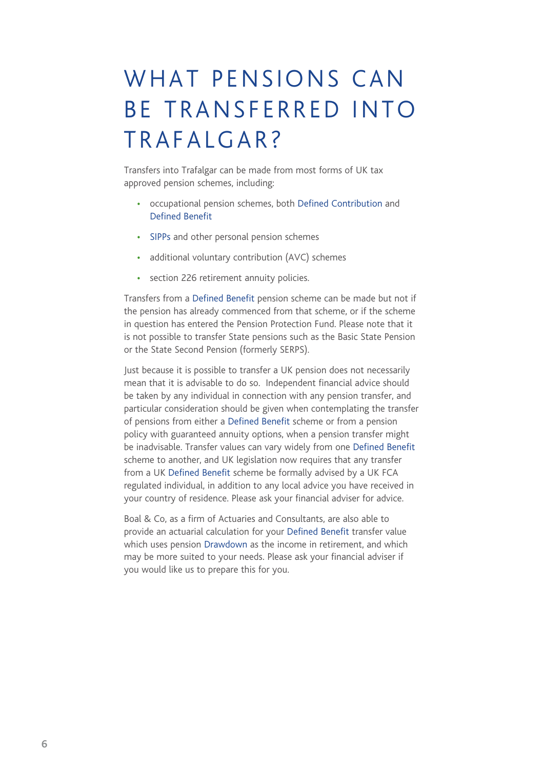## WHAT PENSIONS CAN BE TRANSFERRED INTO TRAFALGAR?

Transfers into Trafalgar can be made from most forms of UK tax approved pension schemes, including:

- occupational pension schemes, both Defined Contribution and Defined Benefit
- SIPPs and other personal pension schemes
- additional voluntary contribution (AVC) schemes
- section 226 retirement annuity policies.

Transfers from a Defined Benefit pension scheme can be made but not if the pension has already commenced from that scheme, or if the scheme in question has entered the Pension Protection Fund. Please note that it is not possible to transfer State pensions such as the Basic State Pension or the State Second Pension (formerly SERPS).

Just because it is possible to transfer a UK pension does not necessarily mean that it is advisable to do so. Independent financial advice should be taken by any individual in connection with any pension transfer, and particular consideration should be given when contemplating the transfer of pensions from either a Defined Benefit scheme or from a pension policy with guaranteed annuity options, when a pension transfer might be inadvisable. Transfer values can vary widely from one Defined Benefit scheme to another, and UK legislation now requires that any transfer from a UK Defined Benefit scheme be formally advised by a UK FCA regulated individual, in addition to any local advice you have received in your country of residence. Please ask your financial adviser for advice.

Boal & Co, as a firm of Actuaries and Consultants, are also able to provide an actuarial calculation for your Defined Benefit transfer value which uses pension Drawdown as the income in retirement, and which may be more suited to your needs. Please ask your financial adviser if you would like us to prepare this for you.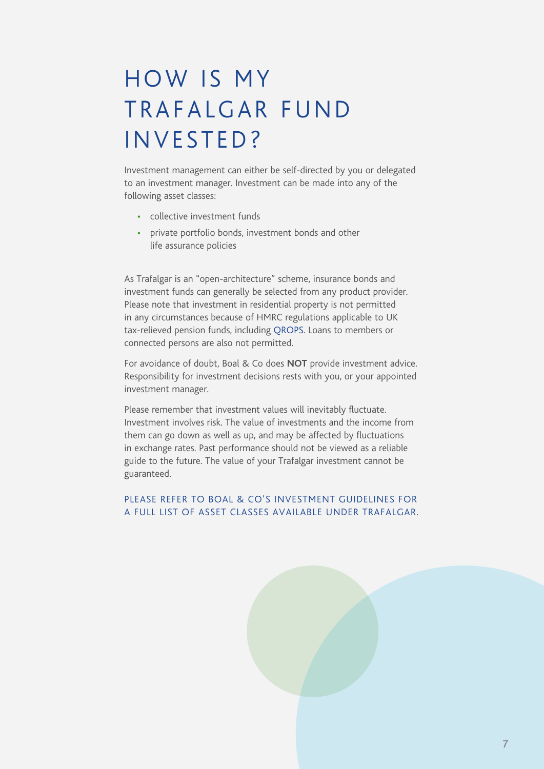## HOW IS MY TRAFALGAR FUND INVESTED?

Investment management can either be self-directed by you or delegated to an investment manager. Investment can be made into any of the following asset classes:

- collective investment funds
- private portfolio bonds, investment bonds and other life assurance policies

As Trafalgar is an "open-architecture" scheme, insurance bonds and investment funds can generally be selected from any product provider. Please note that investment in residential property is not permitted in any circumstances because of HMRC regulations applicable to UK tax-relieved pension funds, including QROPS. Loans to members or connected persons are also not permitted.

For avoidance of doubt, Boal & Co does **NOT** provide investment advice. Responsibility for investment decisions rests with you, or your appointed investment manager.

Please remember that investment values will inevitably fluctuate. Investment involves risk. The value of investments and the income from them can go down as well as up, and may be affected by fluctuations in exchange rates. Past performance should not be viewed as a reliable guide to the future. The value of your Trafalgar investment cannot be guaranteed.

#### PLEASE REFER TO BOAL & CO'S INVESTMENT GUIDELINES FOR A FULL LIST OF ASSET CLASSES AVAILABLE UNDER TRAFALGAR.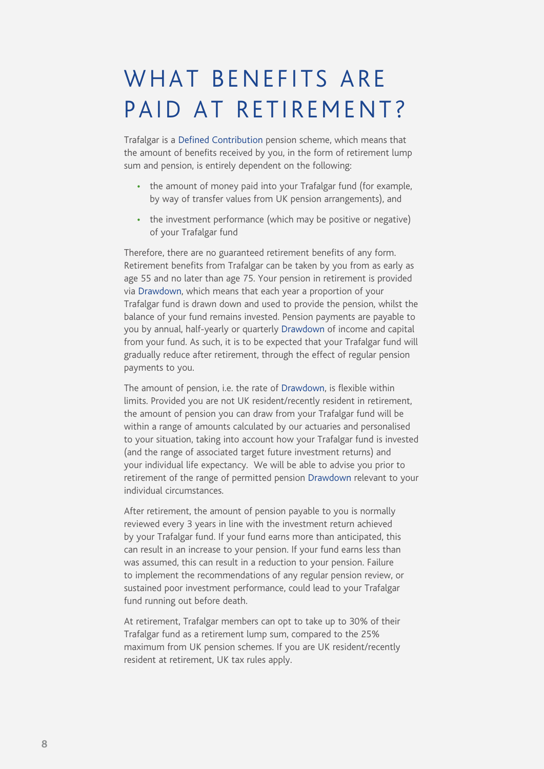### WHAT BENEFITS ARE PAID AT RETIREMENT?

Trafalgar is a Defined Contribution pension scheme, which means that the amount of benefits received by you, in the form of retirement lump sum and pension, is entirely dependent on the following:

- the amount of money paid into your Trafalgar fund (for example, by way of transfer values from UK pension arrangements), and
- the investment performance (which may be positive or negative) of your Trafalgar fund

Therefore, there are no guaranteed retirement benefits of any form. Retirement benefits from Trafalgar can be taken by you from as early as age 55 and no later than age 75. Your pension in retirement is provided via Drawdown, which means that each year a proportion of your Trafalgar fund is drawn down and used to provide the pension, whilst the balance of your fund remains invested. Pension payments are payable to you by annual, half-yearly or quarterly Drawdown of income and capital from your fund. As such, it is to be expected that your Trafalgar fund will gradually reduce after retirement, through the effect of regular pension payments to you.

The amount of pension, i.e. the rate of Drawdown, is flexible within limits. Provided you are not UK resident/recently resident in retirement, the amount of pension you can draw from your Trafalgar fund will be within a range of amounts calculated by our actuaries and personalised to your situation, taking into account how your Trafalgar fund is invested (and the range of associated target future investment returns) and your individual life expectancy. We will be able to advise you prior to retirement of the range of permitted pension Drawdown relevant to your individual circumstances.

After retirement, the amount of pension payable to you is normally reviewed every 3 years in line with the investment return achieved by your Trafalgar fund. If your fund earns more than anticipated, this can result in an increase to your pension. If your fund earns less than was assumed, this can result in a reduction to your pension. Failure to implement the recommendations of any regular pension review, or sustained poor investment performance, could lead to your Trafalgar fund running out before death.

At retirement, Trafalgar members can opt to take up to 30% of their Trafalgar fund as a retirement lump sum, compared to the 25% maximum from UK pension schemes. If you are UK resident/recently resident at retirement, UK tax rules apply.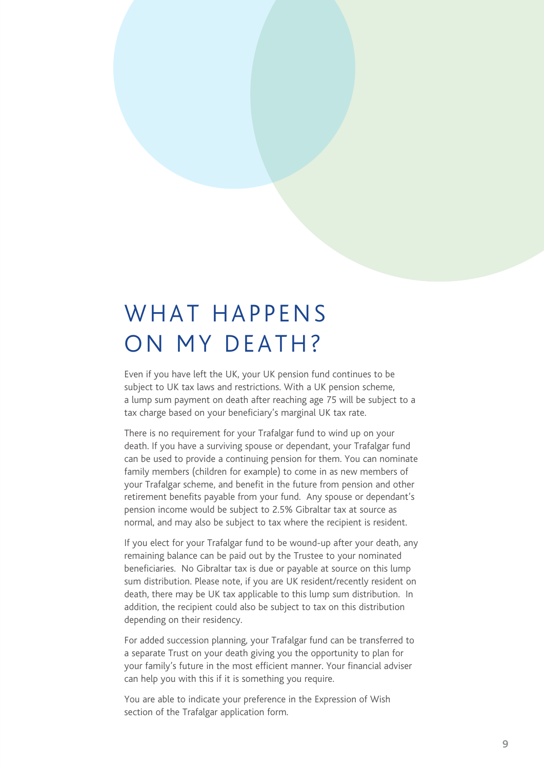#### WHAT HAPPFNS ON MY DEATH?

Even if you have left the UK, your UK pension fund continues to be subject to UK tax laws and restrictions. With a UK pension scheme, a lump sum payment on death after reaching age 75 will be subject to a tax charge based on your beneficiary's marginal UK tax rate.

There is no requirement for your Trafalgar fund to wind up on your death. If you have a surviving spouse or dependant, your Trafalgar fund can be used to provide a continuing pension for them. You can nominate family members (children for example) to come in as new members of your Trafalgar scheme, and benefit in the future from pension and other retirement benefits payable from your fund. Any spouse or dependant's pension income would be subject to 2.5% Gibraltar tax at source as normal, and may also be subject to tax where the recipient is resident.

If you elect for your Trafalgar fund to be wound-up after your death, any remaining balance can be paid out by the Trustee to your nominated beneficiaries. No Gibraltar tax is due or payable at source on this lump sum distribution. Please note, if you are UK resident/recently resident on death, there may be UK tax applicable to this lump sum distribution. In addition, the recipient could also be subject to tax on this distribution depending on their residency.

For added succession planning, your Trafalgar fund can be transferred to a separate Trust on your death giving you the opportunity to plan for your family's future in the most efficient manner. Your financial adviser can help you with this if it is something you require.

You are able to indicate your preference in the Expression of Wish section of the Trafalgar application form.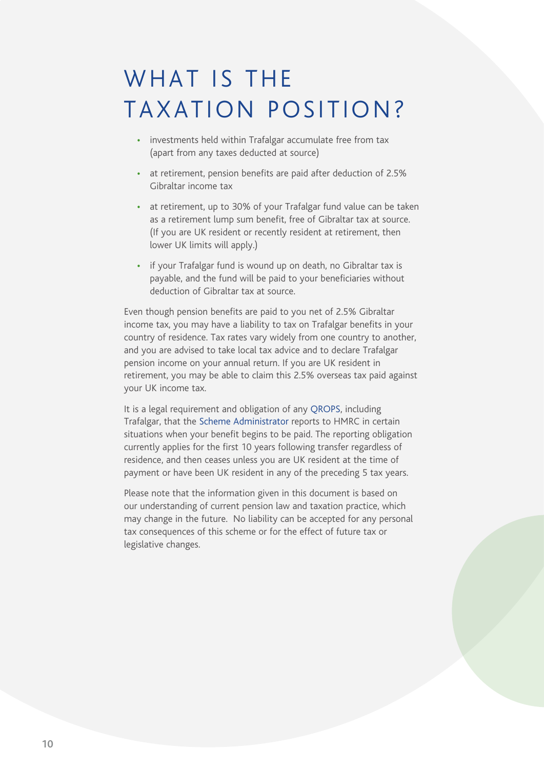#### WHAT IS THE TAXATION POSITION?

- investments held within Trafalgar accumulate free from tax (apart from any taxes deducted at source)
- at retirement, pension benefits are paid after deduction of 2.5% Gibraltar income tax
- at retirement, up to 30% of your Trafalgar fund value can be taken as a retirement lump sum benefit, free of Gibraltar tax at source. (If you are UK resident or recently resident at retirement, then lower UK limits will apply.)
- if your Trafalgar fund is wound up on death, no Gibraltar tax is payable, and the fund will be paid to your beneficiaries without deduction of Gibraltar tax at source.

Even though pension benefits are paid to you net of 2.5% Gibraltar income tax, you may have a liability to tax on Trafalgar benefits in your country of residence. Tax rates vary widely from one country to another, and you are advised to take local tax advice and to declare Trafalgar pension income on your annual return. If you are UK resident in retirement, you may be able to claim this 2.5% overseas tax paid against your UK income tax.

It is a legal requirement and obligation of any QROPS, including Trafalgar, that the Scheme Administrator reports to HMRC in certain situations when your benefit begins to be paid. The reporting obligation currently applies for the first 10 years following transfer regardless of residence, and then ceases unless you are UK resident at the time of payment or have been UK resident in any of the preceding 5 tax years.

Please note that the information given in this document is based on our understanding of current pension law and taxation practice, which may change in the future. No liability can be accepted for any personal tax consequences of this scheme or for the effect of future tax or legislative changes.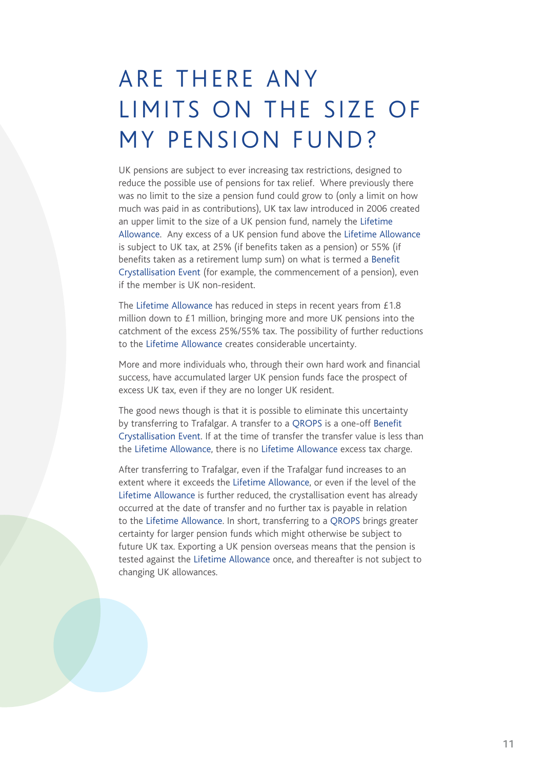### ARE THERE ANY LIMITS ON THE SIZE OF MY PENSION FUND?

UK pensions are subject to ever increasing tax restrictions, designed to reduce the possible use of pensions for tax relief. Where previously there was no limit to the size a pension fund could grow to (only a limit on how much was paid in as contributions), UK tax law introduced in 2006 created an upper limit to the size of a UK pension fund, namely the Lifetime Allowance. Any excess of a UK pension fund above the Lifetime Allowance is subject to UK tax, at 25% (if benefits taken as a pension) or 55% (if benefits taken as a retirement lump sum) on what is termed a Benefit Crystallisation Event (for example, the commencement of a pension), even if the member is UK non-resident.

The Lifetime Allowance has reduced in steps in recent years from £1.8 million down to £1 million, bringing more and more UK pensions into the catchment of the excess 25%/55% tax. The possibility of further reductions to the Lifetime Allowance creates considerable uncertainty.

More and more individuals who, through their own hard work and financial success, have accumulated larger UK pension funds face the prospect of excess UK tax, even if they are no longer UK resident.

The good news though is that it is possible to eliminate this uncertainty by transferring to Trafalgar. A transfer to a QROPS is a one-off Benefit Crystallisation Event. If at the time of transfer the transfer value is less than the Lifetime Allowance, there is no Lifetime Allowance excess tax charge.

After transferring to Trafalgar, even if the Trafalgar fund increases to an extent where it exceeds the Lifetime Allowance, or even if the level of the Lifetime Allowance is further reduced, the crystallisation event has already occurred at the date of transfer and no further tax is payable in relation to the Lifetime Allowance. In short, transferring to a QROPS brings greater certainty for larger pension funds which might otherwise be subject to future UK tax. Exporting a UK pension overseas means that the pension is tested against the Lifetime Allowance once, and thereafter is not subject to changing UK allowances.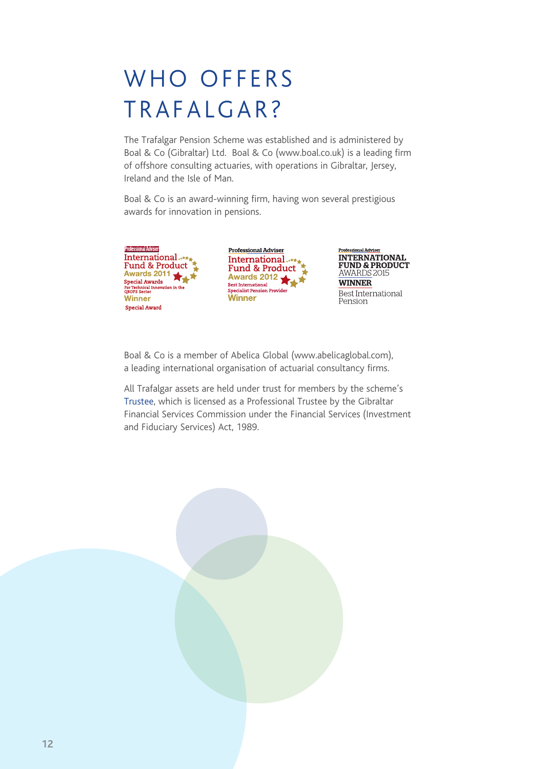# WHO OFFERS TRAFALGAR?

The Trafalgar Pension Scheme was established and is administered by Boal & Co (Gibraltar) Ltd. Boal & Co (www.boal.co.uk) is a leading firm of offshore consulting actuaries, with operations in Gibraltar, Jersey, Ireland and the Isle of Man.

Boal & Co is an award-winning firm, having won several prestigious awards for innovation in pensions.







Boal & Co is a member of Abelica Global (www.abelicaglobal.com), a leading international organisation of actuarial consultancy firms.

All Trafalgar assets are held under trust for members by the scheme's Trustee, which is licensed as a Professional Trustee by the Gibraltar Financial Services Commission under the Financial Services (Investment and Fiduciary Services) Act, 1989.

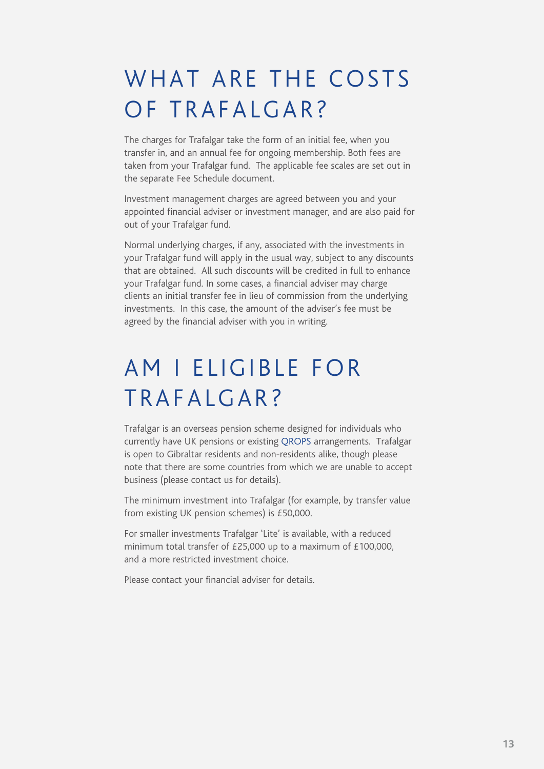### WHAT ARE THE COSTS OF TRAFALGAR?

The charges for Trafalgar take the form of an initial fee, when you transfer in, and an annual fee for ongoing membership. Both fees are taken from your Trafalgar fund. The applicable fee scales are set out in the separate Fee Schedule document.

Investment management charges are agreed between you and your appointed financial adviser or investment manager, and are also paid for out of your Trafalgar fund.

Normal underlying charges, if any, associated with the investments in your Trafalgar fund will apply in the usual way, subject to any discounts that are obtained. All such discounts will be credited in full to enhance your Trafalgar fund. In some cases, a financial adviser may charge clients an initial transfer fee in lieu of commission from the underlying investments. In this case, the amount of the adviser's fee must be agreed by the financial adviser with you in writing.

### AM I ELIGIBLE FOR TRAFALGAR?

Trafalgar is an overseas pension scheme designed for individuals who currently have UK pensions or existing QROPS arrangements. Trafalgar is open to Gibraltar residents and non-residents alike, though please note that there are some countries from which we are unable to accept business (please contact us for details).

The minimum investment into Trafalgar (for example, by transfer value from existing UK pension schemes) is £50,000.

For smaller investments Trafalgar 'Lite' is available, with a reduced minimum total transfer of £25,000 up to a maximum of £100,000, and a more restricted investment choice.

Please contact your financial adviser for details.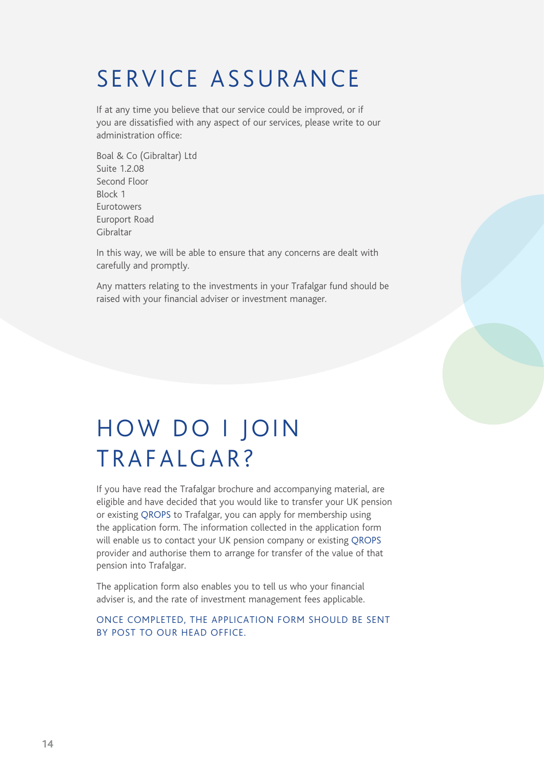### SERVICE ASSURANCE

If at any time you believe that our service could be improved, or if you are dissatisfied with any aspect of our services, please write to our administration office:

Boal & Co (Gibraltar) Ltd Suite 1.2.08 Second Floor Block 1 Eurotowers Europort Road Gibraltar

In this way, we will be able to ensure that any concerns are dealt with carefully and promptly.

Any matters relating to the investments in your Trafalgar fund should be raised with your financial adviser or investment manager.

### HOW DO I JOIN TRAFALGAR?

If you have read the Trafalgar brochure and accompanying material, are eligible and have decided that you would like to transfer your UK pension or existing QROPS to Trafalgar, you can apply for membership using the application form. The information collected in the application form will enable us to contact your UK pension company or existing QROPS provider and authorise them to arrange for transfer of the value of that pension into Trafalgar.

The application form also enables you to tell us who your financial adviser is, and the rate of investment management fees applicable.

#### ONCE COMPLETED, THE APPLICATION FORM SHOULD BE SENT BY POST TO OUR HEAD OFFICE.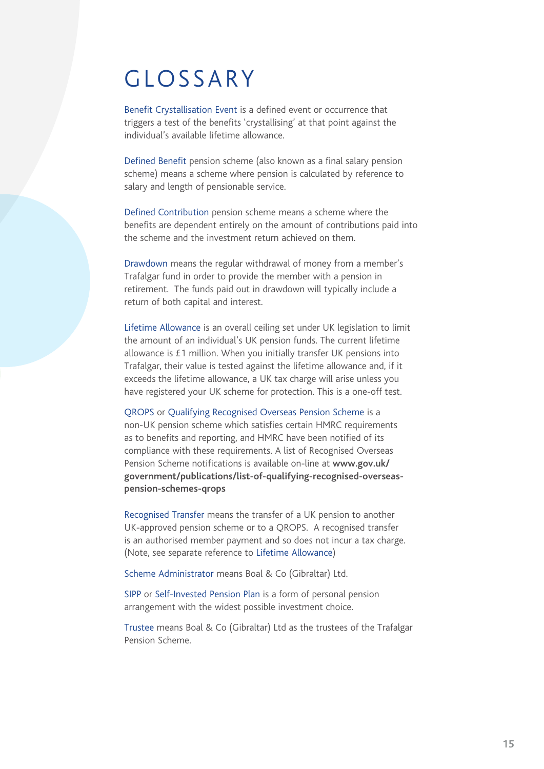#### GLOSSARY

Benefit Crystallisation Event is a defined event or occurrence that triggers a test of the benefits 'crystallising' at that point against the individual's available lifetime allowance.

Defined Benefit pension scheme (also known as a final salary pension scheme) means a scheme where pension is calculated by reference to salary and length of pensionable service.

Defined Contribution pension scheme means a scheme where the benefits are dependent entirely on the amount of contributions paid into the scheme and the investment return achieved on them.

Drawdown means the regular withdrawal of money from a member's Trafalgar fund in order to provide the member with a pension in retirement. The funds paid out in drawdown will typically include a return of both capital and interest.

Lifetime Allowance is an overall ceiling set under UK legislation to limit the amount of an individual's UK pension funds. The current lifetime allowance is £1 million. When you initially transfer UK pensions into Trafalgar, their value is tested against the lifetime allowance and, if it exceeds the lifetime allowance, a UK tax charge will arise unless you have registered your UK scheme for protection. This is a one-off test.

QROPS or Qualifying Recognised Overseas Pension Scheme is a non-UK pension scheme which satisfies certain HMRC requirements as to benefits and reporting, and HMRC have been notified of its compliance with these requirements. A list of Recognised Overseas Pension Scheme notifications is available on-line at **www.gov.uk/ government/publications/list-of-qualifying-recognised-overseaspension-schemes-qrops**

Recognised Transfer means the transfer of a UK pension to another UK-approved pension scheme or to a QROPS. A recognised transfer is an authorised member payment and so does not incur a tax charge. (Note, see separate reference to Lifetime Allowance)

Scheme Administrator means Boal & Co (Gibraltar) Ltd.

SIPP or Self-Invested Pension Plan is a form of personal pension arrangement with the widest possible investment choice.

Trustee means Boal & Co (Gibraltar) Ltd as the trustees of the Trafalgar Pension Scheme.